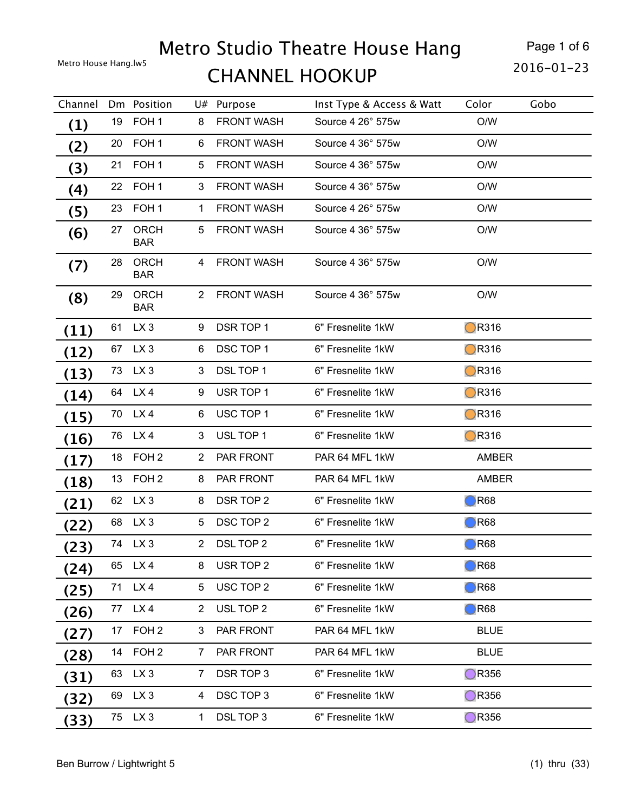Metro House Hang.lw5 **CHANNEL HOOKUP** 2016-01-23

Page 1 of 6

| Channel           |    | Dm Position               |                | U# Purpose        | Inst Type & Access & Watt | Color           | Gobo |
|-------------------|----|---------------------------|----------------|-------------------|---------------------------|-----------------|------|
| $\left( 1\right)$ | 19 | FOH <sub>1</sub>          | 8              | <b>FRONT WASH</b> | Source 4 26° 575w         | O/W             |      |
| (2)               | 20 | FOH <sub>1</sub>          | 6              | <b>FRONT WASH</b> | Source 4 36° 575w         | O/W             |      |
| (3)               | 21 | FOH <sub>1</sub>          | 5              | <b>FRONT WASH</b> | Source 4 36° 575w         | O/W             |      |
| (4)               | 22 | FOH 1                     | 3              | <b>FRONT WASH</b> | Source 4 36° 575w         | O/W             |      |
| (5)               | 23 | FOH <sub>1</sub>          | $\mathbf 1$    | <b>FRONT WASH</b> | Source 4 26° 575w         | O/W             |      |
| (6)               | 27 | <b>ORCH</b><br><b>BAR</b> | 5              | <b>FRONT WASH</b> | Source 4 36° 575w         | O/W             |      |
| (7)               | 28 | <b>ORCH</b><br><b>BAR</b> | 4              | <b>FRONT WASH</b> | Source 4 36° 575w         | O/W             |      |
| (8)               | 29 | <b>ORCH</b><br><b>BAR</b> | $\overline{2}$ | <b>FRONT WASH</b> | Source 4 36° 575w         | O/W             |      |
| (11)              | 61 | LX <sub>3</sub>           | 9              | DSR TOP 1         | 6" Fresnelite 1kW         | $\bigcirc$ R316 |      |
| (12)              | 67 | LX <sub>3</sub>           | 6              | DSC TOP 1         | 6" Fresnelite 1kW         | $\bigcirc$ R316 |      |
| (13)              | 73 | LX <sub>3</sub>           | 3              | DSL TOP 1         | 6" Fresnelite 1kW         | $\bigcirc$ R316 |      |
| (14)              | 64 | LX4                       | 9              | USR TOP 1         | 6" Fresnelite 1kW         | $\bigcirc$ R316 |      |
| (15)              | 70 | LX4                       | 6              | USC TOP 1         | 6" Fresnelite 1kW         | $\bigcirc$ R316 |      |
| (16)              | 76 | LX4                       | 3              | USL TOP 1         | 6" Fresnelite 1kW         | $\bigcirc$ R316 |      |
| (17)              | 18 | FOH <sub>2</sub>          | 2              | PAR FRONT         | PAR 64 MFL 1kW            | <b>AMBER</b>    |      |
| (18)              | 13 | FOH <sub>2</sub>          | 8              | PAR FRONT         | PAR 64 MFL 1kW            | <b>AMBER</b>    |      |
| (21)              | 62 | LX <sub>3</sub>           | 8              | DSR TOP 2         | 6" Fresnelite 1kW         | R68             |      |
| (22)              | 68 | LX <sub>3</sub>           | 5              | DSC TOP 2         | 6" Fresnelite 1kW         | $\bigcirc$ R68  |      |
| (23)              |    | 74 LX 3                   | $\overline{2}$ | DSL TOP 2         | 6" Fresnelite 1kW         | $\bigcirc$ R68  |      |
| (24)              | 65 | LX4                       | 8              | USR TOP 2         | 6" Fresnelite 1kW         | $\bigcirc$ R68  |      |
| (25)              | 71 | LX4                       | 5              | USC TOP 2         | 6" Fresnelite 1kW         | $\bigcirc$ R68  |      |
| (26)              | 77 | LX4                       | 2              | USL TOP 2         | 6" Fresnelite 1kW         | $\big)$ R68     |      |
| (27)              | 17 | FOH <sub>2</sub>          | 3              | PAR FRONT         | PAR 64 MFL 1kW            | <b>BLUE</b>     |      |
| (28)              | 14 | FOH <sub>2</sub>          | 7              | PAR FRONT         | PAR 64 MFL 1kW            | <b>BLUE</b>     |      |
| (31)              | 63 | $LX_3$                    | 7              | DSR TOP 3         | 6" Fresnelite 1kW         | R356            |      |
| (32)              | 69 | LX <sub>3</sub>           | 4              | DSC TOP 3         | 6" Fresnelite 1kW         | ◯R356           |      |
| (33)              | 75 | LX <sub>3</sub>           | $\mathbf{1}$   | DSL TOP 3         | 6" Fresnelite 1kW         | R356            |      |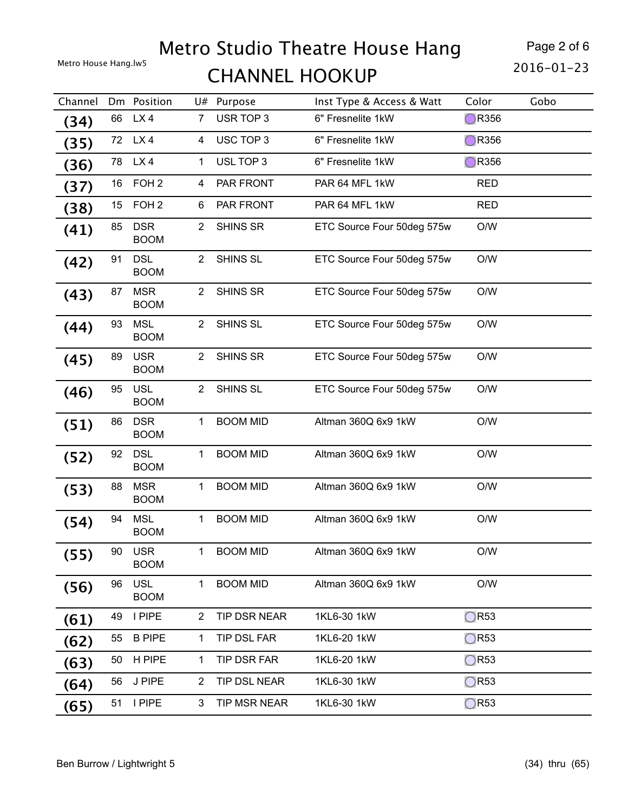Metro House Hang.lw5 **CHANNEL HOOKUP** 2016-01-23

Page 2 of 6

| Channel |    | Dm Position               |                | U# Purpose         | Inst Type & Access & Watt  | Color           | Gobo |
|---------|----|---------------------------|----------------|--------------------|----------------------------|-----------------|------|
| (34)    | 66 | LX4                       | $\overline{7}$ | USR TOP 3          | 6" Fresnelite 1kW          | ◯R356           |      |
| (35)    | 72 | LX4                       | 4              | USC TOP 3          | 6" Fresnelite 1kW          | ◯R356           |      |
| (36)    | 78 | LX4                       | 1              | USL TOP 3          | 6" Fresnelite 1kW          | $\bigcirc$ R356 |      |
| (37)    | 16 | FOH <sub>2</sub>          | 4              | PAR FRONT          | PAR 64 MFL 1kW             | <b>RED</b>      |      |
| (38)    | 15 | FOH <sub>2</sub>          | 6              | PAR FRONT          | PAR 64 MFL 1kW             | <b>RED</b>      |      |
| (41)    | 85 | <b>DSR</b><br><b>BOOM</b> | $\mathbf{2}$   | <b>SHINS SR</b>    | ETC Source Four 50deg 575w | O/W             |      |
| (42)    | 91 | <b>DSL</b><br><b>BOOM</b> | $\overline{2}$ | SHINS SL           | ETC Source Four 50deg 575w | O/W             |      |
| (43)    | 87 | <b>MSR</b><br><b>BOOM</b> | $\overline{2}$ | <b>SHINS SR</b>    | ETC Source Four 50deg 575w | O/W             |      |
| (44)    | 93 | <b>MSL</b><br><b>BOOM</b> | $\overline{2}$ | SHINS SL           | ETC Source Four 50deg 575w | O/W             |      |
| (45)    | 89 | <b>USR</b><br><b>BOOM</b> | $\overline{2}$ | <b>SHINS SR</b>    | ETC Source Four 50deg 575w | O/W             |      |
| (46)    | 95 | <b>USL</b><br><b>BOOM</b> | $\overline{2}$ | SHINS SL           | ETC Source Four 50deg 575w | O/W             |      |
| (51)    | 86 | <b>DSR</b><br><b>BOOM</b> | 1              | <b>BOOM MID</b>    | Altman 360Q 6x9 1kW        | O/W             |      |
| (52)    | 92 | <b>DSL</b><br><b>BOOM</b> | 1.             | <b>BOOM MID</b>    | Altman 360Q 6x9 1kW        | O/W             |      |
| (53)    | 88 | <b>MSR</b><br><b>BOOM</b> | $\mathbf{1}$   | <b>BOOM MID</b>    | Altman 360Q 6x9 1kW        | O/W             |      |
| (54)    | 94 | <b>MSL</b><br><b>BOOM</b> | 1              | <b>BOOM MID</b>    | Altman 360Q 6x9 1kW        | O/W             |      |
| (55)    | 90 | USR<br><b>BOOM</b>        | 1.             | <b>BOOM MID</b>    | Altman 360Q 6x9 1kW        | O/W             |      |
| (56)    | 96 | <b>USL</b><br><b>BOOM</b> | 1.             | <b>BOOM MID</b>    | Altman 360Q 6x9 1kW        | O/W             |      |
| (61)    | 49 | <b>I PIPE</b>             | 2              | TIP DSR NEAR       | 1KL6-30 1kW                | $\bigcap$ R53   |      |
| (62)    | 55 | <b>B PIPE</b>             | 1              | <b>TIP DSL FAR</b> | 1KL6-20 1kW                | $\bigcirc$ R53  |      |
| (63)    | 50 | H PIPE                    | 1              | TIP DSR FAR        | 1KL6-20 1kW                | $\bigcirc$ R53  |      |
| (64)    | 56 | J PIPE                    | 2              | TIP DSL NEAR       | 1KL6-30 1kW                | $\bigcirc$ R53  |      |
| (65)    | 51 | I PIPE                    | 3              | TIP MSR NEAR       | 1KL6-30 1kW                | $\bigcirc$ R53  |      |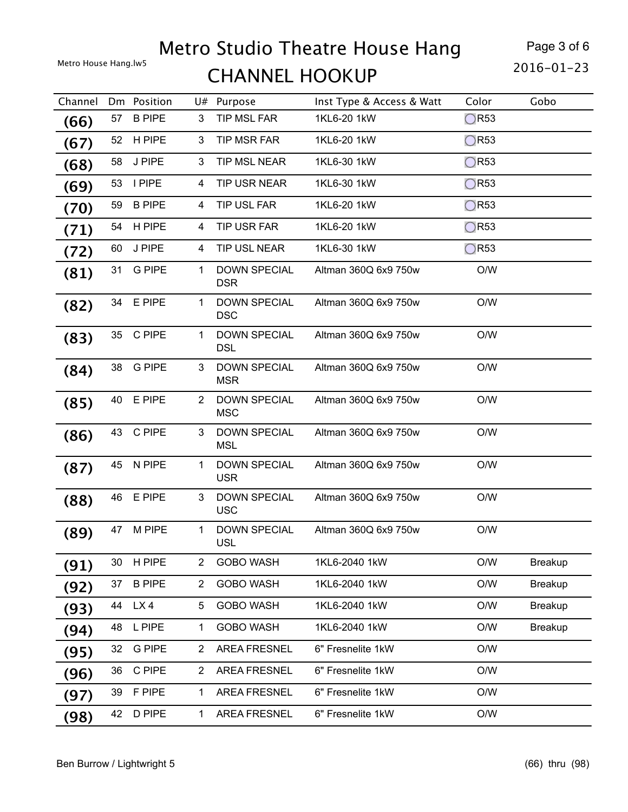Metro House Hang.lw5 **CHANNEL HOOKUP** 2016-01-23

Page 3 of 6

| Channel |    | Dm Position   | U#                    | Purpose                           | Inst Type & Access & Watt | Color          | Gobo           |
|---------|----|---------------|-----------------------|-----------------------------------|---------------------------|----------------|----------------|
| (66)    | 57 | <b>B PIPE</b> | 3                     | TIP MSL FAR                       | 1KL6-20 1kW               | OR53           |                |
| (67)    | 52 | H PIPE        | 3                     | <b>TIP MSR FAR</b>                | 1KL6-20 1kW               | $\bigcirc$ R53 |                |
| (68)    | 58 | J PIPE        | 3                     | <b>TIP MSL NEAR</b>               | 1KL6-30 1kW               | $\bigcirc$ R53 |                |
| (69)    | 53 | <b>I PIPE</b> | 4                     | TIP USR NEAR                      | 1KL6-30 1kW               | $\bigcirc$ R53 |                |
| (70)    | 59 | <b>B PIPE</b> | 4                     | <b>TIP USL FAR</b>                | 1KL6-20 1kW               | $\bigcirc$ R53 |                |
| (71)    | 54 | H PIPE        | 4                     | TIP USR FAR                       | 1KL6-20 1kW               | $\bigcirc$ R53 |                |
| (72)    | 60 | J PIPE        | 4                     | TIP USL NEAR                      | 1KL6-30 1kW               | $\bigcirc$ R53 |                |
| (81)    | 31 | <b>G PIPE</b> | $\mathbf{1}$          | <b>DOWN SPECIAL</b><br><b>DSR</b> | Altman 360Q 6x9 750w      | O/W            |                |
| (82)    |    | 34 E PIPE     | 1.                    | <b>DOWN SPECIAL</b><br><b>DSC</b> | Altman 360Q 6x9 750w      | O/W            |                |
| (83)    | 35 | C PIPE        | 1                     | <b>DOWN SPECIAL</b><br><b>DSL</b> | Altman 360Q 6x9 750w      | O/W            |                |
| (84)    |    | 38 G PIPE     | 3                     | <b>DOWN SPECIAL</b><br><b>MSR</b> | Altman 360Q 6x9 750w      | O/W            |                |
| (85)    | 40 | E PIPE        | $\mathbf{2}^{\prime}$ | <b>DOWN SPECIAL</b><br><b>MSC</b> | Altman 360Q 6x9 750w      | O/W            |                |
| (86)    |    | 43 C PIPE     | 3                     | <b>DOWN SPECIAL</b><br><b>MSL</b> | Altman 360Q 6x9 750w      | O/W            |                |
| (87)    | 45 | N PIPE        | $\mathbf{1}$          | <b>DOWN SPECIAL</b><br><b>USR</b> | Altman 360Q 6x9 750w      | O/W            |                |
| (88)    |    | 46 E PIPE     | 3                     | <b>DOWN SPECIAL</b><br><b>USC</b> | Altman 360Q 6x9 750w      | O/W            |                |
| (89)    | 47 | M PIPE        | $\mathbf 1$           | <b>DOWN SPECIAL</b><br><b>USL</b> | Altman 360Q 6x9 750w      | O/W            |                |
| (91)    | 30 | H PIPE        | $\overline{2}$        | <b>GOBO WASH</b>                  | 1KL6-2040 1kW             | O/W            | <b>Breakup</b> |
| (92)    | 37 | <b>B PIPE</b> | $\overline{c}$        | <b>GOBO WASH</b>                  | 1KL6-2040 1kW             | O/W            | <b>Breakup</b> |
| (93)    | 44 | LX4           | 5                     | <b>GOBO WASH</b>                  | 1KL6-2040 1kW             | O/W            | <b>Breakup</b> |
| (94)    | 48 | L PIPE        | 1                     | <b>GOBO WASH</b>                  | 1KL6-2040 1kW             | O/W            | <b>Breakup</b> |
| (95)    | 32 | <b>G PIPE</b> | $\overline{2}$        | <b>AREA FRESNEL</b>               | 6" Fresnelite 1kW         | O/W            |                |
| (96)    | 36 | C PIPE        | $\overline{2}$        | <b>AREA FRESNEL</b>               | 6" Fresnelite 1kW         | O/W            |                |
| (97)    | 39 | F PIPE        | 1                     | <b>AREA FRESNEL</b>               | 6" Fresnelite 1kW         | O/W            |                |
| (98)    | 42 | <b>D PIPE</b> | 1                     | <b>AREA FRESNEL</b>               | 6" Fresnelite 1kW         | O/W            |                |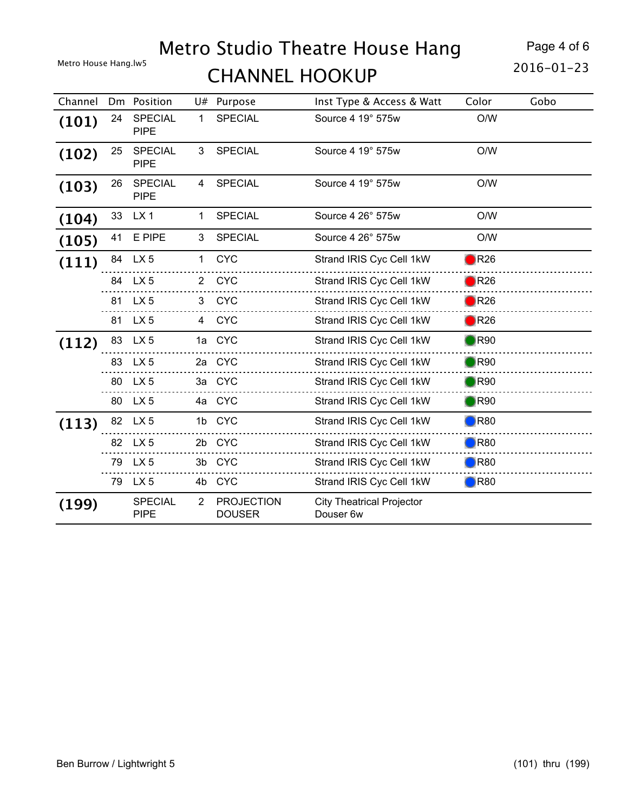# Metro House Hang.lw5 **CHANNEL HOOKUP** 2016-01-23

Page 4 of 6

| Channel | Dm | Position                      | U#                    | Purpose                            | Inst Type & Access & Watt                     | Color          | Gobo |
|---------|----|-------------------------------|-----------------------|------------------------------------|-----------------------------------------------|----------------|------|
| (101)   | 24 | <b>SPECIAL</b><br><b>PIPE</b> | 1                     | <b>SPECIAL</b>                     | Source 4 19° 575w                             | O/W            |      |
| (102)   | 25 | <b>SPECIAL</b><br><b>PIPE</b> | 3                     | <b>SPECIAL</b>                     | Source 4 19° 575w                             | O/W            |      |
| (103)   | 26 | <b>SPECIAL</b><br><b>PIPE</b> | 4                     | <b>SPECIAL</b>                     | Source 4 19° 575w                             | O/W            |      |
| (104)   | 33 | LX <sub>1</sub>               | 1                     | <b>SPECIAL</b>                     | Source 4 26° 575w                             | O/W            |      |
| (105)   | 41 | E PIPE                        | 3                     | <b>SPECIAL</b>                     | Source 4 26° 575w                             | O/W            |      |
| (111)   | 84 | LX <sub>5</sub>               | 1                     | <b>CYC</b>                         | Strand IRIS Cyc Cell 1kW                      | $\bigcirc$ R26 |      |
|         |    | 84 LX 5                       | $\overline{2}$        | <b>CYC</b>                         | Strand IRIS Cyc Cell 1kW                      | $\bigcirc$ R26 |      |
|         |    | 81 LX 5                       | 3                     | <b>CYC</b>                         | Strand IRIS Cyc Cell 1kW                      | $\bigcirc$ R26 |      |
|         | 81 | LX <sub>5</sub>               | 4                     | <b>CYC</b>                         | Strand IRIS Cyc Cell 1kW                      | $\bigcirc$ R26 |      |
| (112)   | 83 | LX <sub>5</sub>               |                       | 1a CYC                             | Strand IRIS Cyc Cell 1kW                      | $\bigcirc$ R90 |      |
|         |    | 83 LX 5                       |                       | 2a CYC                             | Strand IRIS Cyc Cell 1kW                      | $\bigcirc$ R90 |      |
|         |    | 80 LX 5                       |                       | 3a CYC                             | Strand IRIS Cyc Cell 1kW                      | $\bigcirc$ R90 |      |
|         | 80 | LX <sub>5</sub>               |                       | 4a CYC                             | Strand IRIS Cyc Cell 1kW                      | $\big)$ R90    |      |
| (113)   | 82 | LX 5                          |                       | 1b CYC                             | Strand IRIS Cyc Cell 1kW                      | $\bigcirc$ R80 |      |
|         | 82 | LX <sub>5</sub>               |                       | 2b CYC                             | Strand IRIS Cyc Cell 1kW                      | $\bigcirc$ R80 |      |
|         | 79 | LX <sub>5</sub>               |                       | 3b CYC                             | Strand IRIS Cyc Cell 1kW                      | $\bigcirc$ R80 |      |
|         | 79 | LX <sub>5</sub>               |                       | 4b CYC                             | Strand IRIS Cyc Cell 1kW                      | $\bigcirc$ R80 |      |
| (199)   |    | <b>SPECIAL</b><br><b>PIPE</b> | $\mathbf{2}^{\prime}$ | <b>PROJECTION</b><br><b>DOUSER</b> | <b>City Theatrical Projector</b><br>Douser 6w |                |      |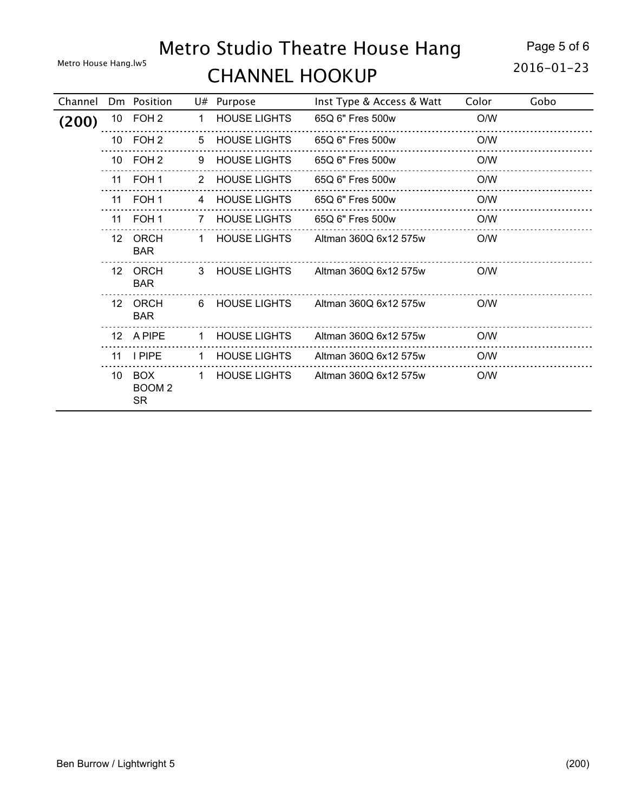# Metro House Hang.lw5 **CHANNEL HOOKUP** 2016-01-23 Metro Studio Theatre House Hang

Page 5 of 6

| Channel |                 | Dm Position                             | U# | Purpose             | Inst Type & Access & Watt | Color | Gobo |
|---------|-----------------|-----------------------------------------|----|---------------------|---------------------------|-------|------|
| (200)   | 10              | FOH <sub>2</sub>                        | 1. | <b>HOUSE LIGHTS</b> | 65Q 6" Fres 500w          | O/W   |      |
|         | 10              | FOH 2                                   | 5  | <b>HOUSE LIGHTS</b> | 65Q 6" Fres 500w          | O/W   |      |
|         |                 | 10 FOH 2                                | 9  | <b>HOUSE LIGHTS</b> | 65Q 6" Fres 500w          | O/W   |      |
|         | 11              | FOH <sub>1</sub>                        | 2  | <b>HOUSE LIGHTS</b> | 65Q 6" Fres 500w          | O/W   |      |
|         | 11              | FOH 1                                   | 4  | <b>HOUSE LIGHTS</b> | 65Q 6" Fres 500w          | O/W   |      |
|         | 11              | FOH 1                                   |    | <b>HOUSE LIGHTS</b> | 65Q 6" Fres 500w          | O/W   |      |
|         | 12 <sup>1</sup> | <b>ORCH</b><br><b>BAR</b>               | 1  | <b>HOUSE LIGHTS</b> | Altman 360Q 6x12 575w     | O/W   |      |
|         | 12 <sup>°</sup> | <b>ORCH</b><br><b>BAR</b>               |    | 3 HOUSE LIGHTS      | Altman 360Q 6x12 575w     | O/W   |      |
|         | 12 <sup>°</sup> | ORCH<br><b>BAR</b>                      | 6  | <b>HOUSE LIGHTS</b> | Altman 360Q 6x12 575w     | O/W   |      |
|         | 12              | A PIPE                                  |    | <b>HOUSE LIGHTS</b> | Altman 360Q 6x12 575w     | O/W   |      |
|         | 11              | <b>I PIPE</b>                           | 1. | <b>HOUSE LIGHTS</b> | Altman 360Q 6x12 575w     | O/W   |      |
|         | 10              | <b>BOX</b><br><b>BOOM2</b><br><b>SR</b> | 1  | <b>HOUSE LIGHTS</b> | Altman 360Q 6x12 575w     | O/W   |      |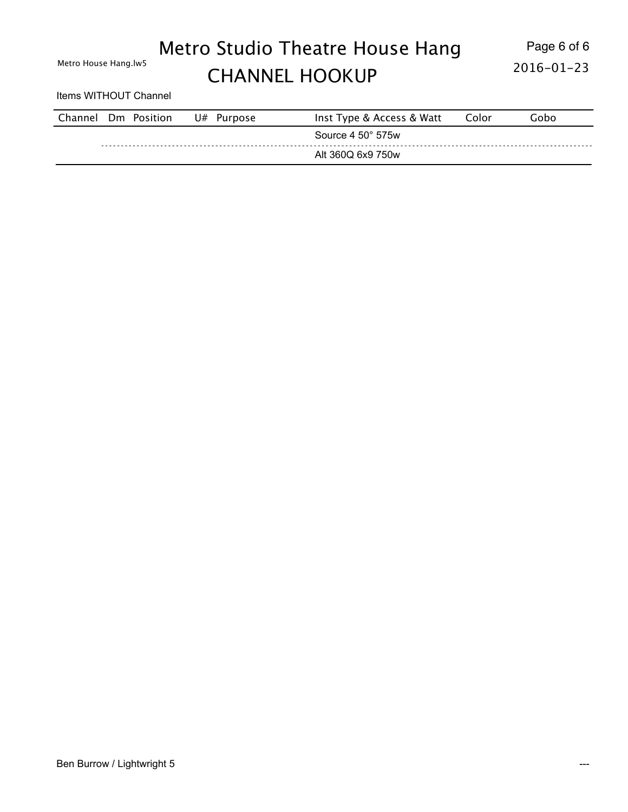# Metro House Hang.lw5 **CHANNEL HOOKUP** 2016-01-23 Metro Studio Theatre House Hang

Items WITHOUT Channel

| Channel | Dm Position | U# | Purpose | Inst Type & Access & Watt  | Color | Gobo |
|---------|-------------|----|---------|----------------------------|-------|------|
|         |             |    |         | Source $4.50^{\circ}$ 575w |       |      |
|         |             |    |         | Alt 360Q 6x9 750w          |       |      |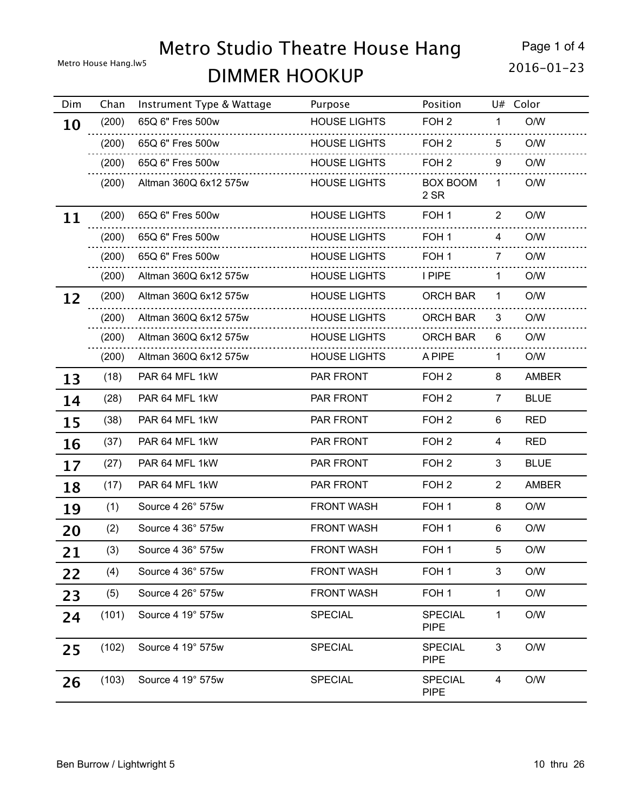# Metro House Hang.lw5 **DIMMER HOOKUP** 2016-01-23 Metro Studio Theatre House Hang

Page 1 of 4

| Dim | Chan  | Instrument Type & Wattage | Purpose             | Position                      |                | U# Color     |
|-----|-------|---------------------------|---------------------|-------------------------------|----------------|--------------|
| 10  | (200) | 65Q 6" Fres 500w          | <b>HOUSE LIGHTS</b> | FOH <sub>2</sub>              | 1              | O/W          |
|     | (200) | 65Q 6" Fres 500w          | <b>HOUSE LIGHTS</b> | FOH <sub>2</sub>              | 5              | O/W          |
|     | (200) | 65Q 6" Fres 500w<br>.     | <b>HOUSE LIGHTS</b> | FOH <sub>2</sub>              | 9              | O/W          |
|     | (200) | Altman 360Q 6x12 575w     | <b>HOUSE LIGHTS</b> | BOX BOOM<br>2 SR              | 1              | O/W          |
| 11  | (200) | 65Q 6" Fres 500w<br>.     | <b>HOUSE LIGHTS</b> | FOH <sub>1</sub>              | $\overline{2}$ | O/W          |
|     | (200) | 65Q 6" Fres 500w<br>.     | <b>HOUSE LIGHTS</b> | FOH <sub>1</sub>              | 4              | O/W          |
|     | (200) | 65Q 6" Fres 500w          | <b>HOUSE LIGHTS</b> | FOH <sub>1</sub>              | $\overline{7}$ | O/W          |
|     | (200) | Altman 360Q 6x12 575w     | <b>HOUSE LIGHTS</b> | I PIPE                        | $\mathbf{1}$   | O/W          |
| 12  | (200) | Altman 360Q 6x12 575w     | <b>HOUSE LIGHTS</b> | <b>ORCH BAR</b>               | $\mathbf{1}$   | O/W          |
|     | (200) | Altman 360Q 6x12 575w     | <b>HOUSE LIGHTS</b> | <b>ORCH BAR</b>               | 3              | O/W          |
|     | (200) | Altman 360Q 6x12 575w     | <b>HOUSE LIGHTS</b> | <b>ORCH BAR</b>               | 6              | O/W          |
|     | (200) | Altman 360Q 6x12 575w     | <b>HOUSE LIGHTS</b> | A PIPE                        | $\mathbf{1}$   | O/W          |
| 13  | (18)  | PAR 64 MFL 1kW            | PAR FRONT           | FOH <sub>2</sub>              | 8              | <b>AMBER</b> |
| 14  | (28)  | PAR 64 MFL 1kW            | PAR FRONT           | FOH <sub>2</sub>              | $\overline{7}$ | <b>BLUE</b>  |
| 15  | (38)  | PAR 64 MFL 1kW            | PAR FRONT           | FOH <sub>2</sub>              | 6              | <b>RED</b>   |
| 16  | (37)  | PAR 64 MFL 1kW            | PAR FRONT           | FOH <sub>2</sub>              | 4              | <b>RED</b>   |
| 17  | (27)  | PAR 64 MFL 1kW            | PAR FRONT           | FOH <sub>2</sub>              | 3              | <b>BLUE</b>  |
| 18  | (17)  | PAR 64 MFL 1kW            | PAR FRONT           | FOH <sub>2</sub>              | $\overline{2}$ | AMBER        |
| 19  | (1)   | Source 4 26° 575w         | <b>FRONT WASH</b>   | FOH <sub>1</sub>              | 8              | O/W          |
| 20  | (2)   | Source 4 36° 575w         | <b>FRONT WASH</b>   | FOH <sub>1</sub>              | 6              | O/W          |
| 21  | (3)   | Source 4 36° 575w         | <b>FRONT WASH</b>   | FOH <sub>1</sub>              | 5              | O/W          |
| 22  | (4)   | Source 4 36° 575w         | <b>FRONT WASH</b>   | FOH <sub>1</sub>              | 3              | O/W          |
| 23  | (5)   | Source 4 26° 575w         | <b>FRONT WASH</b>   | FOH <sub>1</sub>              | 1              | O/W          |
| 24  | (101) | Source 4 19° 575w         | <b>SPECIAL</b>      | <b>SPECIAL</b><br><b>PIPE</b> | 1              | O/W          |
| 25  | (102) | Source 4 19° 575w         | <b>SPECIAL</b>      | <b>SPECIAL</b><br><b>PIPE</b> | 3              | O/W          |
| 26  | (103) | Source 4 19° 575w         | <b>SPECIAL</b>      | <b>SPECIAL</b><br><b>PIPE</b> | 4              | O/W          |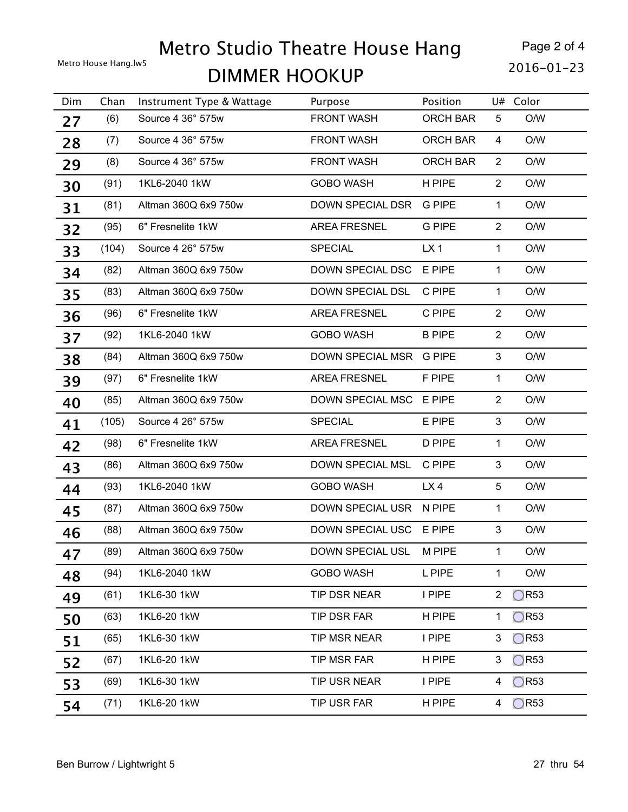Metro House Hang.lw5 **DIMMER HOOKUP** 2016-01-23

Page 2 of 4

| Dim | Chan  | Instrument Type & Wattage | Purpose                 | Position        |                | U# Color       |
|-----|-------|---------------------------|-------------------------|-----------------|----------------|----------------|
| 27  | (6)   | Source 4 36° 575w         | <b>FRONT WASH</b>       | <b>ORCH BAR</b> | 5              | O/W            |
| 28  | (7)   | Source 4 36° 575w         | <b>FRONT WASH</b>       | <b>ORCH BAR</b> | 4              | O/W            |
| 29  | (8)   | Source 4 36° 575w         | <b>FRONT WASH</b>       | <b>ORCH BAR</b> | $\overline{2}$ | O/W            |
| 30  | (91)  | 1KL6-2040 1kW             | <b>GOBO WASH</b>        | H PIPE          | $\overline{2}$ | O/W            |
| 31  | (81)  | Altman 360Q 6x9 750w      | DOWN SPECIAL DSR        | <b>G PIPE</b>   | $\mathbf{1}$   | O/W            |
| 32  | (95)  | 6" Fresnelite 1kW         | <b>AREA FRESNEL</b>     | <b>G PIPE</b>   | $\overline{2}$ | O/W            |
| 33  | (104) | Source 4 26° 575w         | <b>SPECIAL</b>          | LX <sub>1</sub> | $\mathbf{1}$   | O/W            |
| 34  | (82)  | Altman 360Q 6x9 750w      | DOWN SPECIAL DSC        | E PIPE          | $\mathbf 1$    | O/W            |
| 35  | (83)  | Altman 360Q 6x9 750w      | <b>DOWN SPECIAL DSL</b> | C PIPE          | $\mathbf{1}$   | O/W            |
| 36  | (96)  | 6" Fresnelite 1kW         | <b>AREA FRESNEL</b>     | C PIPE          | $\overline{2}$ | O/W            |
| 37  | (92)  | 1KL6-2040 1kW             | <b>GOBO WASH</b>        | <b>B PIPE</b>   | $\overline{2}$ | O/W            |
| 38  | (84)  | Altman 360Q 6x9 750w      | DOWN SPECIAL MSR G PIPE |                 | 3              | O/W            |
| 39  | (97)  | 6" Fresnelite 1kW         | <b>AREA FRESNEL</b>     | F PIPE          | $\mathbf{1}$   | O/W            |
| 40  | (85)  | Altman 360Q 6x9 750w      | DOWN SPECIAL MSC E PIPE |                 | $\overline{2}$ | O/W            |
| 41  | (105) | Source 4 26° 575w         | <b>SPECIAL</b>          | E PIPE          | $\mathfrak{S}$ | O/W            |
| 42  | (98)  | 6" Fresnelite 1kW         | <b>AREA FRESNEL</b>     | D PIPE          | $\mathbf{1}$   | O/W            |
| 43  | (86)  | Altman 360Q 6x9 750w      | DOWN SPECIAL MSL        | C PIPE          | 3              | O/W            |
| 44  | (93)  | 1KL6-2040 1kW             | <b>GOBO WASH</b>        | LX4             | 5              | O/W            |
| 45  | (87)  | Altman 360Q 6x9 750w      | DOWN SPECIAL USR N PIPE |                 | $\mathbf{1}$   | O/W            |
| 46  | (88)  | Altman 360Q 6x9 750w      | <b>DOWN SPECIAL USC</b> | E PIPE          | 3              | O/W            |
| 47  |       | (89) Altman 360Q 6x9 750w | DOWN SPECIAL USL M PIPE |                 | $\mathbf{1}$   | O/W            |
| 48  | (94)  | 1KL6-2040 1kW             | <b>GOBO WASH</b>        | L PIPE          | $\mathbf{1}$   | O/W            |
| 49  | (61)  | 1KL6-30 1kW               | TIP DSR NEAR            | I PIPE          | $\overline{2}$ | $\bigcirc$ R53 |
| 50  | (63)  | 1KL6-20 1kW               | TIP DSR FAR             | H PIPE          | 1              | $\bigcirc$ R53 |
| 51  | (65)  | 1KL6-30 1kW               | <b>TIP MSR NEAR</b>     | I PIPE          | 3              | $\bigcirc$ R53 |
| 52  | (67)  | 1KL6-20 1kW               | TIP MSR FAR             | H PIPE          | 3              | $\bigcirc$ R53 |
| 53  | (69)  | 1KL6-30 1kW               | TIP USR NEAR            | I PIPE          | 4              | $\bigcirc$ R53 |
| 54  | (71)  | 1KL6-20 1kW               | TIP USR FAR             | H PIPE          | 4              | R53            |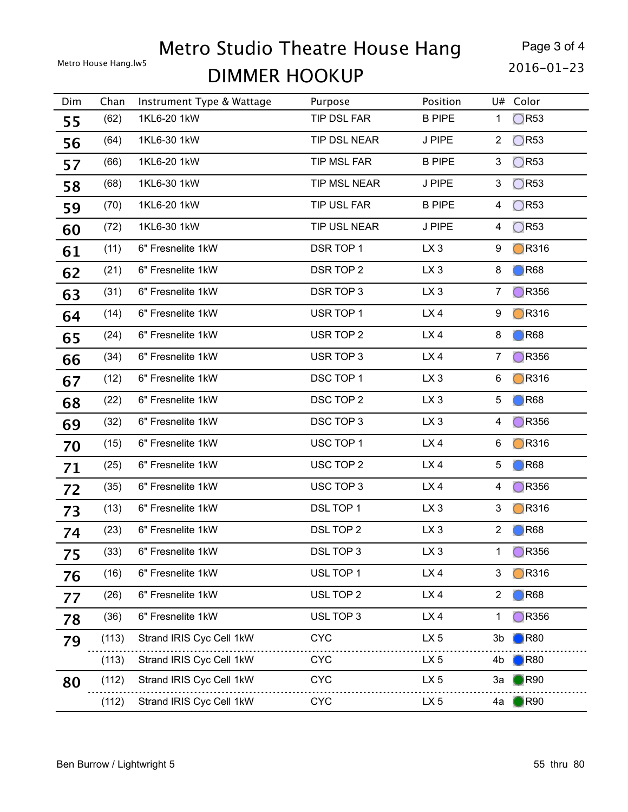Metro House Hang.lw5 **DIMMER HOOKUP** 2016-01-23

Page 3 of 4

| Dim | Chan  | Instrument Type & Wattage | Purpose             | Position        |                | U# Color               |
|-----|-------|---------------------------|---------------------|-----------------|----------------|------------------------|
| 55  | (62)  | 1KL6-20 1kW               | TIP DSL FAR         | <b>B PIPE</b>   | 1              | <b>R53</b>             |
| 56  | (64)  | 1KL6-30 1kW               | <b>TIP DSL NEAR</b> | J PIPE          | $\overline{2}$ | <b>R53</b>             |
| 57  | (66)  | 1KL6-20 1kW               | <b>TIP MSL FAR</b>  | <b>B PIPE</b>   | 3              | <b>R53</b>             |
| 58  | (68)  | 1KL6-30 1kW               | <b>TIP MSL NEAR</b> | J PIPE          | 3              | <b>R53</b>             |
| 59  | (70)  | 1KL6-20 1kW               | TIP USL FAR         | <b>B PIPE</b>   | 4              | <b>R53</b>             |
| 60  | (72)  | 1KL6-30 1kW               | TIP USL NEAR        | J PIPE          | 4              | <b>R53</b>             |
| 61  | (11)  | 6" Fresnelite 1kW         | DSR TOP 1           | LX <sub>3</sub> | 9              | R316                   |
| 62  | (21)  | 6" Fresnelite 1kW         | DSR TOP 2           | LX <sub>3</sub> | 8              | R68                    |
| 63  | (31)  | 6" Fresnelite 1kW         | DSR TOP 3           | LX <sub>3</sub> | $\overline{7}$ | R356                   |
| 64  | (14)  | 6" Fresnelite 1kW         | USR TOP 1           | LX4             | 9              | R316                   |
| 65  | (24)  | 6" Fresnelite 1kW         | USR TOP 2           | LX4             | 8              | <b>R68</b>             |
| 66  | (34)  | 6" Fresnelite 1kW         | USR TOP 3           | LX4             | 7              | R356                   |
| 67  | (12)  | 6" Fresnelite 1kW         | DSC TOP 1           | LX <sub>3</sub> | 6              | R316                   |
| 68  | (22)  | 6" Fresnelite 1kW         | DSC TOP 2           | LX <sub>3</sub> | 5              | R68                    |
| 69  | (32)  | 6" Fresnelite 1kW         | DSC TOP 3           | LX <sub>3</sub> | 4              | R356                   |
| 70  | (15)  | 6" Fresnelite 1kW         | USC TOP 1           | LX4             | 6              | R316                   |
| 71  | (25)  | 6" Fresnelite 1kW         | USC TOP 2           | LX4             | 5              | <b>R68</b>             |
| 72  | (35)  | 6" Fresnelite 1kW         | USC TOP 3           | LX4             | 4              | R356                   |
| 73  | (13)  | 6" Fresnelite 1kW         | DSL TOP 1           | LX <sub>3</sub> | 3              | R316                   |
| 74  | (23)  | 6" Fresnelite 1kW         | DSL TOP 2           | LX <sub>3</sub> | $\overline{2}$ | <b>R68</b>             |
| 75  | (33)  | 6" Fresnelite 1kW         | DSL TOP 3           | LX <sub>3</sub> |                | OR356                  |
| 76  | (16)  | 6" Fresnelite 1kW         | USL TOP 1           | LX4             | 3              | R316                   |
| 77  | (26)  | 6" Fresnelite 1kW         | USL TOP 2           | LX4             | $\overline{2}$ | R68                    |
| 78  | (36)  | 6" Fresnelite 1kW         | USL TOP 3           | LX4             | 1              | R356                   |
| 79  | (113) | Strand IRIS Cyc Cell 1kW  | <b>CYC</b>          | LX <sub>5</sub> | 3b             | $)$ R80                |
|     | (113) | Strand IRIS Cyc Cell 1kW  | <b>CYC</b>          | LX <sub>5</sub> | 4b             | $)$ R80                |
| 80  | (112) | Strand IRIS Cyc Cell 1kW  | <b>CYC</b>          | LX <sub>5</sub> | 3a             | R90                    |
|     | (112) | Strand IRIS Cyc Cell 1kW  | <b>CYC</b>          | LX <sub>5</sub> | 4a             | $\bigtriangledown$ R90 |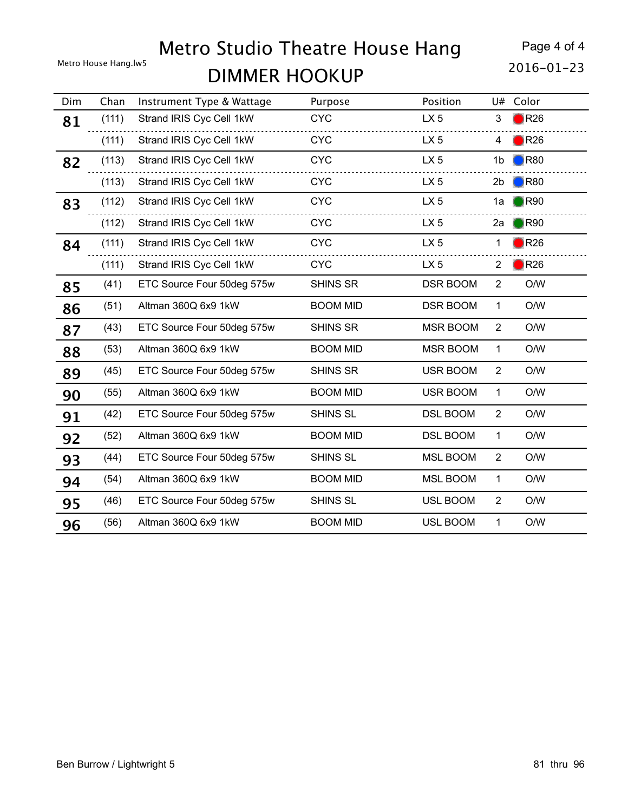# Metro House Hang.lw5 **DIMMER HOOKUP** 2016-01-23 Metro Studio Theatre House Hang

Page 4 of 4

| Dim | Chan  | Instrument Type & Wattage  | Purpose         | Position        | U#             | Color          |
|-----|-------|----------------------------|-----------------|-----------------|----------------|----------------|
| 81  | (111) | Strand IRIS Cyc Cell 1kW   | <b>CYC</b>      | LX <sub>5</sub> | 3              | R26            |
|     | (111) | Strand IRIS Cyc Cell 1kW   | <b>CYC</b>      | LX <sub>5</sub> | 4              | $)$ R26        |
| 82  | (113) | Strand IRIS Cyc Cell 1kW   | <b>CYC</b>      | LX <sub>5</sub> | 1 <sub>b</sub> | R80            |
|     | (113) | Strand IRIS Cyc Cell 1kW   | <b>CYC</b>      | LX <sub>5</sub> | 2 <sub>b</sub> | $\big)$ R80    |
| 83  | (112) | Strand IRIS Cyc Cell 1kW   | <b>CYC</b>      | LX <sub>5</sub> | 1a             | $)$ R90        |
|     | (112) | Strand IRIS Cyc Cell 1kW   | <b>CYC</b>      | LX <sub>5</sub> | 2a             | $\big)$ R90    |
| 84  | (111) | Strand IRIS Cyc Cell 1kW   | <b>CYC</b>      | LX <sub>5</sub> | 1              | $)$ R26        |
|     | (111) | Strand IRIS Cyc Cell 1kW   | <b>CYC</b>      | LX <sub>5</sub> | $\overline{2}$ | $\bigcirc$ R26 |
| 85  | (41)  | ETC Source Four 50deg 575w | SHINS SR        | DSR BOOM        | $\overline{2}$ | O/W            |
| 86  | (51)  | Altman 360Q 6x9 1kW        | <b>BOOM MID</b> | <b>DSR BOOM</b> | 1              | O/W            |
| 87  | (43)  | ETC Source Four 50deg 575w | SHINS SR        | <b>MSR BOOM</b> | $\overline{2}$ | O/W            |
| 88  | (53)  | Altman 360Q 6x9 1kW        | <b>BOOM MID</b> | <b>MSR BOOM</b> | 1              | O/W            |
| 89  | (45)  | ETC Source Four 50deg 575w | <b>SHINS SR</b> | USR BOOM        | $\overline{2}$ | O/W            |
| 90  | (55)  | Altman 360Q 6x9 1kW        | <b>BOOM MID</b> | USR BOOM        | 1              | O/W            |
| 91  | (42)  | ETC Source Four 50deg 575w | <b>SHINS SL</b> | <b>DSL BOOM</b> | $\overline{2}$ | O/W            |
| 92  | (52)  | Altman 360Q 6x9 1kW        | <b>BOOM MID</b> | <b>DSL BOOM</b> | 1              | O/W            |
| 93  | (44)  | ETC Source Four 50deg 575w | SHINS SL        | <b>MSL BOOM</b> | $\overline{2}$ | O/W            |
| 94  | (54)  | Altman 360Q 6x9 1kW        | <b>BOOM MID</b> | <b>MSL BOOM</b> | 1              | O/W            |
| 95  | (46)  | ETC Source Four 50deg 575w | <b>SHINS SL</b> | USL BOOM        | $\overline{2}$ | O/W            |
| 96  | (56)  | Altman 360Q 6x9 1kW        | <b>BOOM MID</b> | USL BOOM        | 1              | O/W            |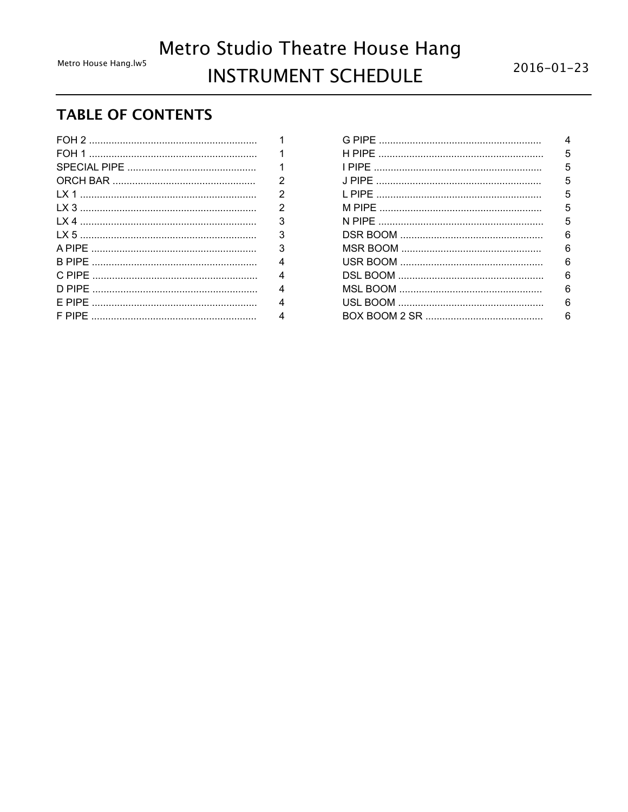### **TABLE OF CONTENTS**

| 1 |
|---|
| 2 |
| 2 |
| 2 |
| 3 |
| 3 |
| 3 |
| 4 |
| 4 |
| 4 |
| 4 |
| 4 |

| 4 |
|---|
| 5 |
| 5 |
| 5 |
| 5 |
| 5 |
| 5 |
| 6 |
| 6 |
| 6 |
| 6 |
| 6 |
| 6 |
| 6 |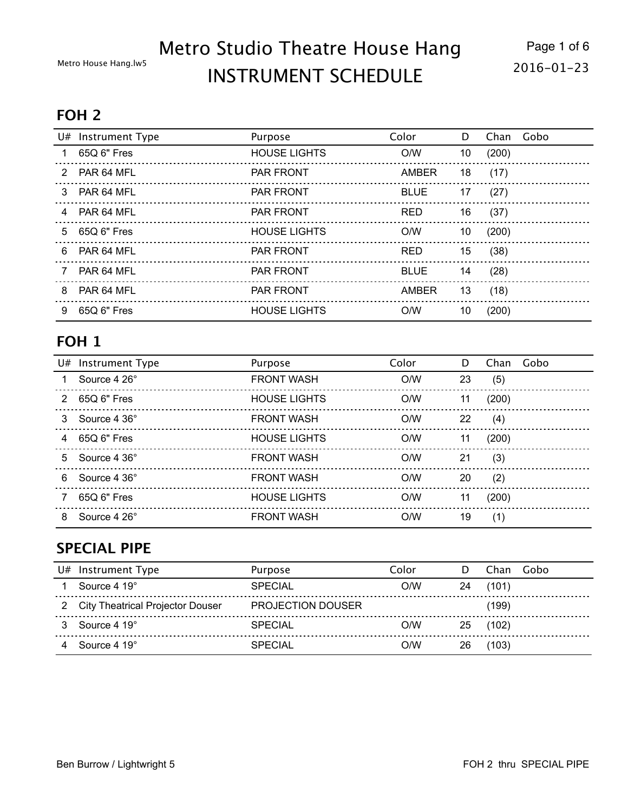### **FOH 2**

|   | U# Instrument Type | Purpose             | Color       | D  | Chan  | Gobo |
|---|--------------------|---------------------|-------------|----|-------|------|
|   | 65Q 6" Fres        | <b>HOUSE LIGHTS</b> | O/W         | 10 | (200) |      |
| 2 | PAR 64 MFL         | <b>PAR FRONT</b>    | AMBER       | 18 | (17)  |      |
| 3 | PAR 64 MFL         | <b>PAR FRONT</b>    | <b>BLUE</b> | 17 | (27)  |      |
| 4 | PAR 64 MFL         | <b>PAR FRONT</b>    | <b>RED</b>  | 16 | (37)  |      |
| 5 | 65Q 6" Fres        | <b>HOUSE LIGHTS</b> | O/W         | 10 | (200) |      |
| 6 | PAR 64 MFL         | <b>PAR FRONT</b>    | <b>RED</b>  | 15 | (38)  |      |
| 7 | PAR 64 MFL         | <b>PAR FRONT</b>    | <b>BLUE</b> | 14 | (28)  |      |
| 8 | PAR 64 MFL         | <b>PAR FRONT</b>    | AMBER       | 13 | (18)  |      |
| 9 | 65Q 6" Fres        | <b>HOUSE LIGHTS</b> | O/W         | 10 | (200) |      |

#### **FOH 1**

|   | U# Instrument Type | Purpose             | Color | D  | Chan Gobo |  |
|---|--------------------|---------------------|-------|----|-----------|--|
|   | Source 4 26°       | <b>FRONT WASH</b>   | O/W   | 23 | (5)       |  |
| 2 | 65Q 6" Fres        | <b>HOUSE LIGHTS</b> | O/W   | 11 | (200)     |  |
| 3 | Source 4 36°       | <b>FRONT WASH</b>   | O/N   | 22 | (4)       |  |
| 4 | 65Q 6" Fres        | <b>HOUSE LIGHTS</b> | O/N   | 11 | (200)     |  |
| 5 | Source 4 36°       | <b>FRONT WASH</b>   | O/N   | 21 | (3)       |  |
| 6 | Source 4 36°       | <b>FRONT WASH</b>   | O/N   | 20 | (2)       |  |
|   | 65Q 6" Fres        | <b>HOUSE LIGHTS</b> | O/N   | 11 | (200)     |  |
| 8 | Source 4 26°       | <b>FRONT WASH</b>   | O/W   | 19 | (1)       |  |

#### **SPECIAL PIPE**

| U# Instrument Type                 | Purpose                  | Color |    | Chan     | Gobo |
|------------------------------------|--------------------------|-------|----|----------|------|
| Source 4 19°                       | <b>SPECIAL</b>           | O/W   | 24 | (101)    |      |
| 2 City Theatrical Projector Douser | <b>PROJECTION DOUSER</b> |       |    | ั199)    |      |
| Source 4 19°                       | <b>SPECIAL</b>           | O/W   |    | 25 (102) |      |
| Source 4 19°                       | <b>SPECIAL</b>           | O/W.  | 26 | (103)    |      |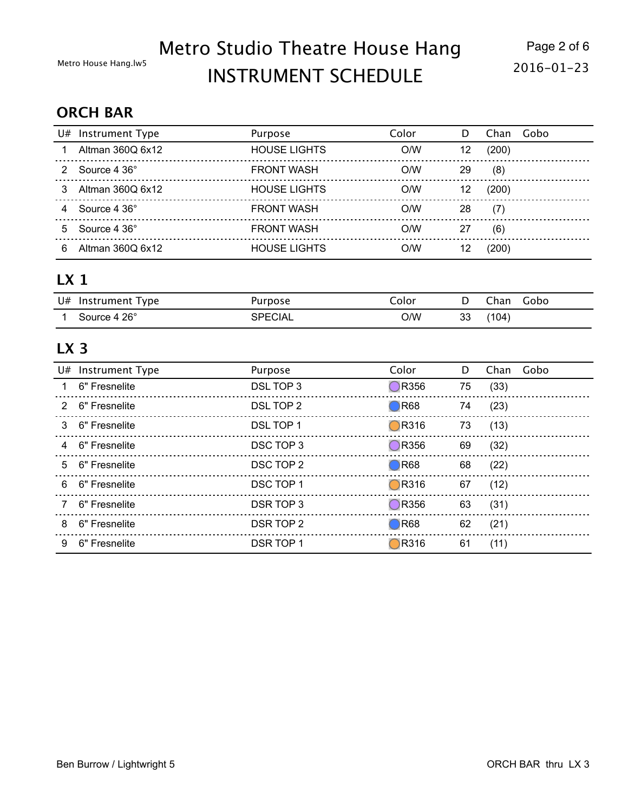#### **ORCH BAR**

| U# | <b>Instrument Type</b> | Purpose             | Color | D  | Chan  | Gobo |
|----|------------------------|---------------------|-------|----|-------|------|
|    | Altman 360Q 6x12       | <b>HOUSE LIGHTS</b> | O/W   | 12 | (200) |      |
|    | Source 4 36°           | <b>FRONT WASH</b>   | O/W   | 29 | (8)   |      |
| 3  | Altman 360Q 6x12       | <b>HOUSE LIGHTS</b> | O/W   | 12 | (200) |      |
|    | Source 4 36°           | <b>FRONT WASH</b>   | O/N   | 28 | (7)   |      |
| 5  | Source 4 36°           | <b>FRONT WASH</b>   | O/W   | 27 | (6)   |      |
| 6  | Altman 360Q 6x12       | <b>HOUSE LIGHTS</b> | O/N   | 12 | (200) |      |

#### **LX 1**

| U# Instrument Type | 'urpose | olor       |    | `obo<br>`han |
|--------------------|---------|------------|----|--------------|
| Source 4 26°       | CIA.    | <b>J/W</b> | 33 | (104)        |

#### **LX 3**

|    | U# Instrument Type | Purpose   | Color | D  | Chan | Gobo |
|----|--------------------|-----------|-------|----|------|------|
|    | 6" Fresnelite      | DSL TOP 3 | ◯R356 | 75 | (33) |      |
|    | 2 6" Fresnelite    | DSL TOP 2 | ◯R68  | 74 | (23) |      |
|    | 3 6" Fresnelite    | DSL TOP 1 | ◯R316 | 73 | (13) |      |
| 4  | 6" Fresnelite      | DSC TOP 3 | ◯R356 | 69 | (32) |      |
| 5  | 6" Fresnelite      | DSC TOP 2 | ◯R68  | 68 | (22) |      |
| 6. | 6" Fresnelite      | DSC TOP 1 | ◯R316 | 67 | (12) |      |
|    | 6" Fresnelite      | DSR TOP 3 | ◯R356 | 63 | (31) |      |
| 8  | 6" Fresnelite      | DSR TOP 2 | ◯R68  | 62 | (21) |      |
| 9  | 6" Fresnelite      | DSR TOP 1 | ◯R316 | 61 | (11) |      |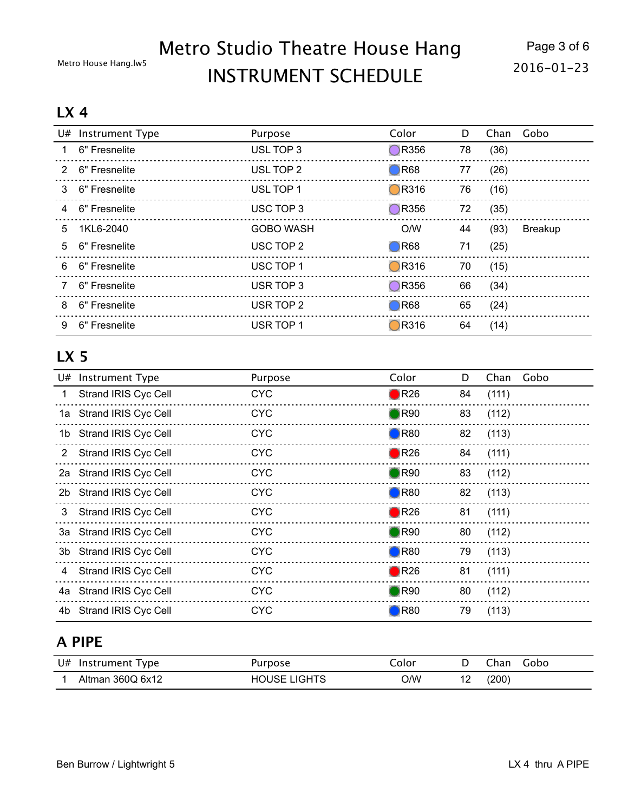### **LX 4**

|   | U# Instrument Type | Purpose          | Color | D  | Chan | Gobo           |
|---|--------------------|------------------|-------|----|------|----------------|
|   | 6" Fresnelite      | USL TOP 3        | ◯R356 | 78 | (36) |                |
|   | 2 6" Fresnelite    | USL TOP 2        | ◯R68  | 77 | (26) |                |
| 3 | 6" Fresnelite      | USL TOP 1        | ◯R316 | 76 | (16) |                |
| 4 | 6" Fresnelite      | USC TOP 3        | ◯R356 | 72 | (35) |                |
| 5 | 1KL6-2040          | <b>GOBO WASH</b> | O/W   | 44 | (93) | <b>Breakup</b> |
| 5 | 6" Fresnelite      | USC TOP 2        | ◯R68  | 71 | (25) |                |
| 6 | 6" Fresnelite      | USC TOP 1        | ◯R316 | 70 | (15) |                |
|   | 6" Fresnelite      | USR TOP 3        | ◯R356 | 66 | (34) |                |
| 8 | 6" Fresnelite      | USR TOP 2        | ◯R68  | 65 | (24) |                |
| 9 | 6" Fresnelite      | USR TOP 1        | ◯R316 | 64 | (14) |                |

### **LX 5**

|    | U# Instrument Type          | Purpose    | Color          | D  | Chan  | Gobo |
|----|-----------------------------|------------|----------------|----|-------|------|
| 1. | Strand IRIS Cyc Cell        | CYC.       | $\bigcirc$ R26 | 84 | (111) |      |
|    | 1a Strand IRIS Cyc Cell     | <b>CYC</b> | $\bigcirc$ R90 | 83 | (112) |      |
|    | 1b Strand IRIS Cyc Cell     | <b>CYC</b> | $\bigcirc$ R80 | 82 | (113) |      |
| 2  | <b>Strand IRIS Cyc Cell</b> | <b>CYC</b> | $\bigcirc$ R26 | 84 | (111) |      |
|    | 2a Strand IRIS Cyc Cell     | <b>CYC</b> | $\bigcirc$ R90 | 83 | (112) |      |
|    | 2b Strand IRIS Cyc Cell     | <b>CYC</b> | $\bigcirc$ R80 | 82 | (113) |      |
| 3  | <b>Strand IRIS Cyc Cell</b> | <b>CYC</b> | $\bigcirc$ R26 | 81 | (111) |      |
|    | 3a Strand IRIS Cyc Cell     | <b>CYC</b> | $\bigcirc$ R90 | 80 | (112) |      |
|    | 3b Strand IRIS Cyc Cell     | <b>CYC</b> | $\bigcirc$ R80 | 79 | (113) |      |
|    | <b>Strand IRIS Cyc Cell</b> | <b>CYC</b> | $\bigcirc$ R26 | 81 | (111) |      |
|    | 4a Strand IRIS Cyc Cell     | <b>CYC</b> | $\bigcirc$ R90 | 80 | (112) |      |
| 4b | <b>Strand IRIS Cyc Cell</b> | <b>CYC</b> | $\bigcirc$ R80 | 79 | (113) |      |

#### **A PIPE**

| U# Instrument Type | urpose'             | color | Jhan  | Gobo |
|--------------------|---------------------|-------|-------|------|
| Altman 360Q 6x12   | <b>HOUSE LIGHTS</b> | W/G   | (200) |      |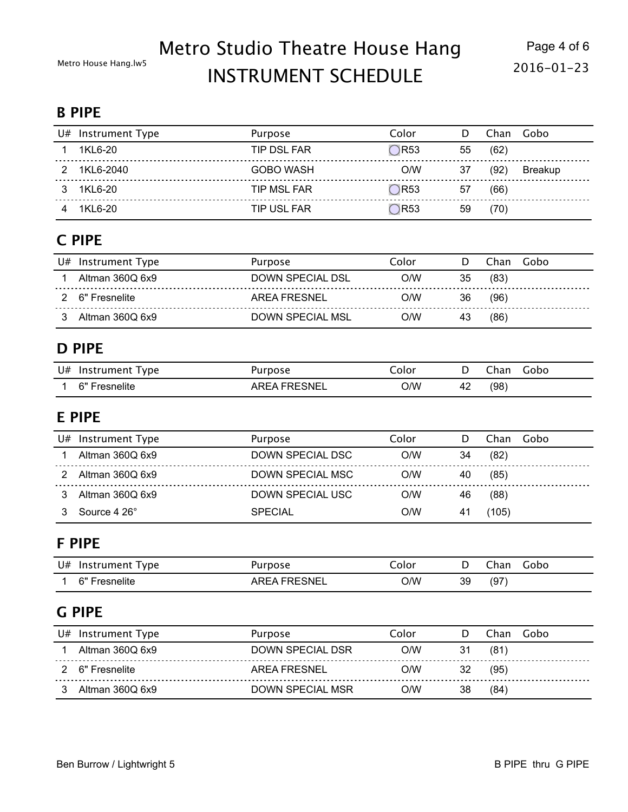### **B PIPE**

| U# | Instrument Type | Purpose            | Color         |    | Chan | Gobo    |
|----|-----------------|--------------------|---------------|----|------|---------|
|    | 1KL6-20         | TIP DSL FAR        | $\bigcap$ R53 | 55 | (62) |         |
|    | 1KL6-2040       | <b>GOBO WASH</b>   | O/W           | 37 | (92) | Breakup |
|    | 1KL6-20         | TIP MSL FAR        | ◯R53          | 57 | (66) |         |
|    | 1KL6-20         | <b>TIP USL FAR</b> | $\bigcap$ R53 | 59 | (70) |         |

### **C PIPE**

| $U#$ Instrument Type | Purpose          | Color | D  | Chan | Gobo |
|----------------------|------------------|-------|----|------|------|
| Altman 360Q 6x9      | DOWN SPECIAL DSL | O/W   | 35 | (83) |      |
| 2 6" Fresnelite      | AREA FRESNEL     | WC.   | 36 | (96) |      |
| Altman 360Q 6x9      | DOWN SPECIAL MSL | WC.   |    | (86) |      |

### **D PIPE**

| U# Instrument Type | Purpose.            | Lolor |    | Chan<br>Gobol |
|--------------------|---------------------|-------|----|---------------|
| 6" Fresnelite      | <b>AREA FRESNEL</b> | W/C   | 42 | (98)          |

#### **E PIPE**

| U# | Instrument Type | Purpose          | Color | D  | Gobo<br>Chan |  |
|----|-----------------|------------------|-------|----|--------------|--|
|    | Altman 360Q 6x9 | DOWN SPECIAL DSC | O/W   | 34 | (82)         |  |
|    | Altman 360Q 6x9 | DOWN SPECIAL MSC | O/W   |    | (85)         |  |
|    | Altman 360Q 6x9 | DOWN SPECIAL USC | O/W   | 46 | (88)         |  |
|    | Source 4 26°    | <b>SPECIAL</b>   | O/W   |    | (105)        |  |

#### **F PIPE**

| U# Instrument Type | urpose'             | Lolor      |    | Ihan | Gopo |
|--------------------|---------------------|------------|----|------|------|
| 6" Fresnelite      | <b>AREA FRESNEL</b> | <b>J/W</b> | 39 | (97) |      |

#### **G PIPE**

| U# | Instrument Type | Purpose          | Color |    | Chan | Gobo |
|----|-----------------|------------------|-------|----|------|------|
|    | Altman 360Q 6x9 | DOWN SPECIAL DSR | )/W   | 31 | (81) |      |
|    | 2 6" Fresnelite | AREA FRESNEL     | א/כ   |    | (95) |      |
|    | Altman 360Q 6x9 | DOWN SPECIAL MSR | 7W    | 38 | (84) |      |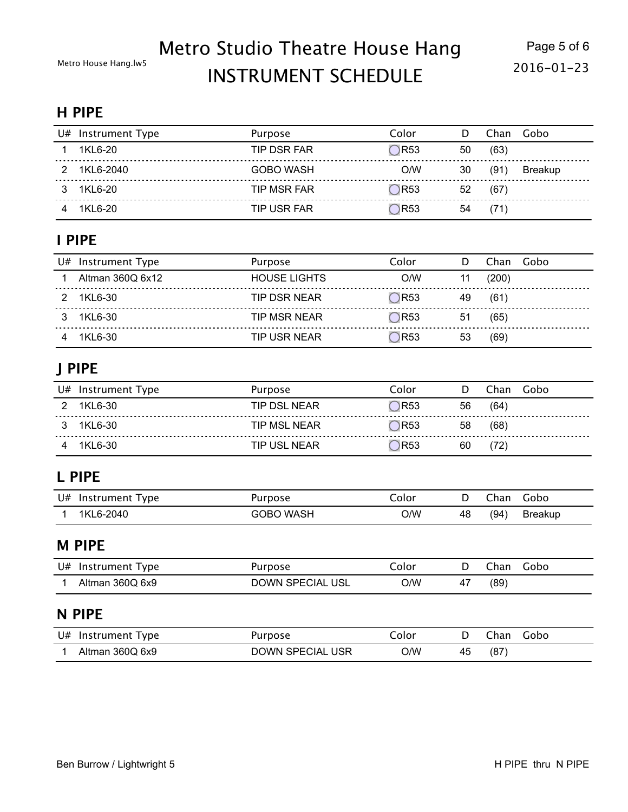### **H PIPE**

| U# | Instrument Type | Purpose            | Color         |    | Chan | Gobo    |
|----|-----------------|--------------------|---------------|----|------|---------|
|    | 1KL 6-20        | TIP DSR FAR        | $\bigcap$ R53 | 50 | (63) |         |
|    | 1KL6-2040       | <b>GOBO WASH</b>   | O/W           | 30 | (91) | Breakup |
|    | 1KL 6-20        | <b>TIP MSR FAR</b> | ◯R53          | 52 | (67) |         |
|    | 1KL 6-20        | TIP USR FAR        | $\bigcap$ R53 | 54 | (71) |         |

### **I PIPE**

| U# | Instrument Type  | Purpose             | Color         |    | Chan  | Gobo |
|----|------------------|---------------------|---------------|----|-------|------|
|    | Altman 360Q 6x12 | <b>HOUSE LIGHTS</b> | O/W           |    | (200) |      |
|    | 1KL6-30          | TIP DSR NEAR        | ◯R53          | 49 | (61)  |      |
|    | 1KL6-30          | TIP MSR NEAR        | $\bigcap$ R53 | 51 | (65)  |      |
|    | 1KL6-30          | TIP USR NEAR        | R53           | 53 | (69)  |      |

### **J PIPE**

| $U#$ Instrument Type | Purpose             | Color         |    | Chan Gobo |
|----------------------|---------------------|---------------|----|-----------|
| 1KL6-30              | <b>TIP DSL NEAR</b> | $\bigcap$ R53 | 56 | (64)      |
| 1KL6-30              | TIP MSL NEAR        | <b>R53</b>    | 58 | (68)      |
| 1KL6-30              | <b>TIP USL NEAR</b> | <b>DR53</b>   | 60 | (72)      |

### **L PIPE**

| U# Instrument Type | 'urpose   | lolor      |    | Lhan | Gobo           |
|--------------------|-----------|------------|----|------|----------------|
| 1KL6-2040          | GOBO WASH | <b>O/W</b> | 48 | '94. | <b>Breakup</b> |

#### **M PIPE**

| U# Instrument Type | 'urpose          | Iolor | . han | Gobo |
|--------------------|------------------|-------|-------|------|
| Altman 360Q 6x9    | DOWN SPECIAL USL | 0/W   | (89)  |      |

### **N PIPE**

| U# Instrument Type | urpose'          | Lolor |    | -han | Gobo |
|--------------------|------------------|-------|----|------|------|
| Altman 360Q 6x9    | DOWN SPECIAL USR | W/C   | 45 | (87  |      |